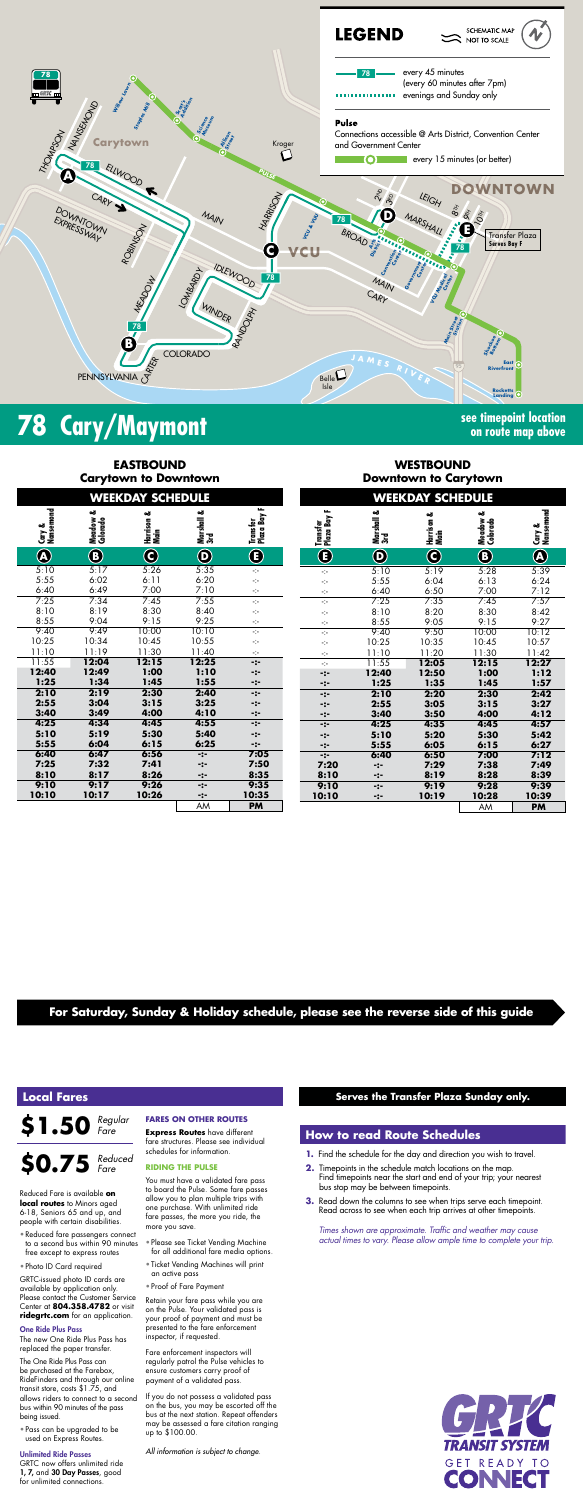

## **78** Cary/Maymont **Signal Cary/Maymont See timepoint location**

## **on route map above**

## **EASTBOUND Carytown to Downtown**

## **WESTBOUND Downtown to Carytown**

## **For Saturday, Sunday & Holiday schedule, please see the reverse side of this guide**

*Times shown are approximate. Traffic and weather may cause actual times to vary. Please allow ample time to complete your trip.*



| <b>WEEKDAY SCHEDULE</b> |                         |                    |                       | <b>WEEKDAY SCHEDULE</b>       |                              |                   |                    |                         |                     |
|-------------------------|-------------------------|--------------------|-----------------------|-------------------------------|------------------------------|-------------------|--------------------|-------------------------|---------------------|
| Cary &<br>Nansemond     | ఱ<br>Meadow<br>Colorado | Harrison &<br>Main | Marshall &<br>3rd     | H.<br>Transfer<br>Plaza Bay I | щ<br>Transfer<br>Plaza Bay I | Marshall &<br>3rd | Harrison &<br>Main | ఱ<br>Meadow<br>Colorado | Cary &<br>Nansemond |
| $\overline{\mathbf{A}}$ | $\bf{O}$                | $\bf C$            | $\boldsymbol{\Theta}$ | $\bf \bf E$                   | $\overline{\bm{\Theta}}$     | $\bf \Phi$        | $\bf{C}$           | $\bigcirc$              | $\bigcirc$          |
| $\overline{5:10}$       | 5:17                    | 5:26               | 5:35                  | ÷                             | ÷                            | 5:10              | 5:19               | 5:28                    | 5:39                |
| $\frac{1}{2}$ :55       | 6:02                    | 6:11               | 6:20                  | ÷                             | ÷                            | 5:55              | 6:04               | 6:13                    | 6:24                |
| $\frac{1.40}{25}$       | 6:49                    | 7:00               | 7:10                  | ÷                             | ÷                            | 6:40              | 6:50               | 7:00                    | 7:12                |
|                         | 7:34                    | 7:45               | 7:55                  | ÷                             | ÷                            | 7:25              | 7:35               | 7:45                    | 7:57                |
| :10                     | 8:19                    | 8:30               | 8:40                  | ÷                             | ÷                            | 8:10              | 8:20               | 8:30                    | 8:42                |
| :55                     | 9:04                    | 9:15               | 9:25                  | ÷                             | ÷                            | 8:55              | 9:05               | 9:15                    | 9:27                |
| :40                     | 9:49                    | 10:00              | 10:10                 | ÷                             | ÷                            | 9:40              | 9:50               | 10:00                   | 10:12               |
| :25                     | 10:34                   | 10:45              | 10:55                 | ÷                             | ÷                            | 10:25             | 10:35              | 10:45                   | 10:57               |
| :10                     | 11:19                   | 11:30              | 11:40                 | ÷                             | ÷                            | 11:10             | 11:20              | 11:30                   | 11:42               |
| :55                     | 12:04                   | 12:15              | 12:25                 | $-:-$                         | $\mathcal{L}_{\mathcal{C}}$  | 11:55             | 12:05              | 12:15                   | 12:27               |
| :40                     | 12:49                   | 1:00               | 1:10                  | $-2-$                         | -:-                          | 12:40             | 12:50              | 1:00                    | 1:12                |
| :25                     | 1:34                    | 1:45               | 1:55                  | $-:-$                         | -:-                          | 1:25              | 1:35               | 1:45                    | 1:57                |
| $\overline{2:10}$       | 2:19                    | 2:30               | 2:40                  | $-:-$                         | -:-                          | 2:10              | 2:20               | 2:30                    | 2:42                |
| : 55                    | 3:04                    | 3:15               | 3:25                  | $-:-$                         | -:-                          | 2:55              | 3:05               | 3:15                    | 3:27                |
| :40                     | 3:49                    | 4:00               | 4:10                  | $-:-$                         | -:-                          | 3:40              | 3:50               | 4:00                    | 4:12                |
| $\overline{.25}$        | 4:34                    | 4:45               | 4:55                  | $-:-$                         | -:-                          | 4:25              | 4:35               | 4:45                    | 4:57                |
| $\ddot{\bm{.}}$ 10      | 5:19                    | 5:30               | 5:40                  | $-:-$                         | -:-                          | 5:10              | 5:20               | 5:30                    | 5:42                |
| $\frac{1}{2}$ :55       | 6:04                    | 6:15               | 6:25                  | $-:-$                         | -:-                          | 5:55              | 6:05               | 6:15                    | 6:27                |
| , 40                    | 6:47                    | 6:56               | $-2-$                 | 7:05                          | -:-                          | 6:40              | 6:50               | 7:00                    | 7:12                |
| 25'                     | 7:32                    | 7:41               | -:-                   | 7:50                          | 7:20                         | -:-               | 7:29               | 7:38                    | 7:49                |
| :10                     | 8:17                    | 8:26               | -:-                   | 8:35                          | 8:10                         | -:-               | 8:19               | 8:28                    | 8:39                |
| $\overline{.10}$        | 9:17                    | 9:26               | -:-                   | 9:35                          | 9:10                         | -:-               | 9:19               | 9:28                    | 9:39                |
| <b>:10</b>              | 10:17                   | 10:26              | -:-                   | 10:35                         | 10:10                        | -:-               | 10:19              | 10:28                   | 10:39               |
|                         |                         |                    | AM                    | PM                            |                              |                   |                    | AM                      | <b>PM</b>           |

| WEEKDAT SCHEDULE        |                      |                         |                       |                              |                          |  |  |
|-------------------------|----------------------|-------------------------|-----------------------|------------------------------|--------------------------|--|--|
| Cary &<br>Nansemond     | Meadow &<br>Colorado | ఱ<br>Harrison &<br>Main | Marshall &<br>3rd     | щ<br>Transfer<br>Plaza Bay I | H<br>Conster<br>Constant |  |  |
| $\overline{\mathbf{A}}$ | $\bigcirc$           | $\bigcirc$              | $\boldsymbol{\Theta}$ | $\mathbf{\widehat{E}}$       |                          |  |  |
| $\overline{5}:10$       | 5:17                 | 5:26                    | 5:35                  | ÷                            |                          |  |  |
| 5:55                    | 6:02                 | 6:11                    | 6:20                  | ÷                            |                          |  |  |
| 6:40                    | 6:49                 | 7:00                    | 7:10                  | ÷                            | 医中华氏反应中华 医中华中华中华中华中华     |  |  |
| 7:25                    | 7:34                 | 7:45                    | 7:55                  | ÷.                           |                          |  |  |
| 8:10                    | 8:19                 | 8:30                    | 8:40                  | ÷                            |                          |  |  |
| 8:55                    | 9:04                 | 9:15                    | 9:25                  | ÷                            |                          |  |  |
| 9:40                    | 9:49                 | 10:00                   | 10:10                 | ÷.                           |                          |  |  |
| 10:25                   | 10:34                | 10:45                   | 10:55                 | ÷                            |                          |  |  |
| 11:10                   | 11:19                | 11:30                   | 11:40                 | ÷                            |                          |  |  |
| 11:55                   | 12:04                | 12:15                   | 12:25                 | $\ddotsc$                    |                          |  |  |
| 12:40                   | 12:49                | 1:00                    | 1:10                  | ∹:-                          |                          |  |  |
| 1:25                    | 1:34                 | 1:45                    | 1:55                  | -:-                          |                          |  |  |
| 2:10                    | 2:19                 | 2:30                    | 2:40                  | -:-                          |                          |  |  |
| 2:55                    | 3:04                 | 3:15                    | 3:25                  | -:-                          |                          |  |  |
| 3:40                    | 3:49                 | 4:00                    | 4:10                  | -:-                          |                          |  |  |
| 4:25                    | 4:34                 | 4:45                    | 4:55                  | $-2-$                        |                          |  |  |
| 5:10                    | 5:19                 | 5:30                    | 5:40                  | ∹:-                          |                          |  |  |
| 5:55                    | 6:04                 | 6:15                    | 6:25                  | -:-                          |                          |  |  |
| 6:40                    | 6:47                 | 6:56                    | -:-                   | 7:05                         |                          |  |  |
| 7:25                    | 7:32                 | 7:41                    | -:-                   | 7:50                         |                          |  |  |
| 8:10                    | 8:17                 | 8:26                    | -:-                   | 8:35                         | 8:                       |  |  |
| 9:10                    | 9:17                 | 9:26                    | -:-                   | 9:35                         | 9:                       |  |  |
| 10:10                   | 10:17                | 10:26                   | -:-                   | 10:35                        | 10:                      |  |  |
|                         |                      |                         | AM                    | <b>PM</b>                    |                          |  |  |

#### **How to read Route Schedules**

- **1.** Find the schedule for the day and direction you wish to travel.
- **2.** Timepoints in the schedule match locations on the map. Find timepoints near the start and end of your trip; your nearest bus stop may be between timepoints.
- **3.** Read down the columns to see when trips serve each timepoint. Read across to see when each trip arrives at other timepoints.

### **Local Fares**

**\$1.50** *Regular Fare*

Reduced Fare is available **on local routes** to Minors aged 6-18, Seniors 65 and up, and people with certain disabilities.

- Reduced fare passengers connect to a second bus within 90 minutes free except to express routes
- Photo ID Card required

GRTC-issued photo ID cards are available by application only. Please contact the Customer Service Center at **804.358.4782** or visit **ridegrtc.com** for an application.

#### One Ride Plus Pass

### **\$0.75** *Reduced Fare*

The new One Ride Plus Pass has replaced the paper transfer.

The One Ride Plus Pass can be purchased at the Farebox, RideFinders and through our online transit store, costs \$1.75, and allows riders to connect to a second bus within 90 minutes of the pass being issued.

• Pass can be upgraded to be used on Express Routes.

#### Unlimited Ride Passes

GRTC now offers unlimited ride 1, 7, and 30 Day Passes, good for unlimited connections.

#### **FARES ON OTHER ROUTES**

**Express Routes** have different fare structures. Please see individual schedules for information.

#### **RIDING THE PULSE**

You must have a validated fare pass to board the Pulse. Some fare passes allow you to plan multiple trips with one purchase. With unlimited ride fare passes, the more you ride, the more you save.

- Please see Ticket Vending Machine for all additional fare media options.
- Ticket Vending Machines will print an active pass
- Proof of Fare Payment

Retain your fare pass while you are on the Pulse. Your validated pass is your proof of payment and must be presented to the fare enforcement inspector, if requested.

Fare enforcement inspectors will regularly patrol the Pulse vehicles to ensure customers carry proof of payment of a validated pass.

If you do not possess a validated pass on the bus, you may be escorted off the bus at the next station. Repeat offenders may be assessed a fare citation ranging up to \$100.00.

*All information is subject to change.*

#### **Serves the Transfer Plaza Sunday only.**